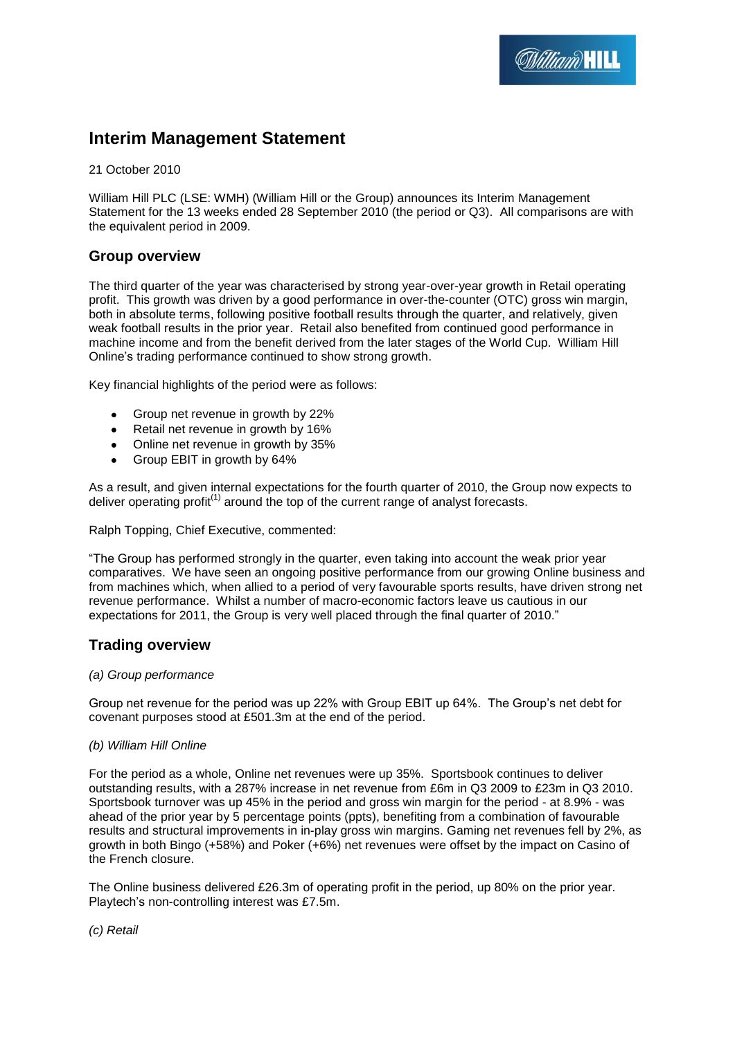# **Interim Management Statement**

21 October 2010

William Hill PLC (LSE: WMH) (William Hill or the Group) announces its Interim Management Statement for the 13 weeks ended 28 September 2010 (the period or Q3). All comparisons are with the equivalent period in 2009.

## **Group overview**

The third quarter of the year was characterised by strong year-over-year growth in Retail operating profit. This growth was driven by a good performance in over-the-counter (OTC) gross win margin, both in absolute terms, following positive football results through the quarter, and relatively, given weak football results in the prior year. Retail also benefited from continued good performance in machine income and from the benefit derived from the later stages of the World Cup. William Hill Online's trading performance continued to show strong growth.

Key financial highlights of the period were as follows:

- Group net revenue in growth by 22%
- Retail net revenue in growth by 16%
- Online net revenue in growth by 35%  $\bullet$
- Group EBIT in growth by 64%  $\bullet$

As a result, and given internal expectations for the fourth quarter of 2010, the Group now expects to deliver operating profit $(1)$  around the top of the current range of analyst forecasts.

### Ralph Topping, Chief Executive, commented:

"The Group has performed strongly in the quarter, even taking into account the weak prior year comparatives. We have seen an ongoing positive performance from our growing Online business and from machines which, when allied to a period of very favourable sports results, have driven strong net revenue performance. Whilst a number of macro-economic factors leave us cautious in our expectations for 2011, the Group is very well placed through the final quarter of 2010."

### **Trading overview**

### *(a) Group performance*

Group net revenue for the period was up 22% with Group EBIT up 64%. The Group's net debt for covenant purposes stood at £501.3m at the end of the period.

### *(b) William Hill Online*

For the period as a whole, Online net revenues were up 35%. Sportsbook continues to deliver outstanding results, with a 287% increase in net revenue from £6m in Q3 2009 to £23m in Q3 2010. Sportsbook turnover was up 45% in the period and gross win margin for the period - at 8.9% - was ahead of the prior year by 5 percentage points (ppts), benefiting from a combination of favourable results and structural improvements in in-play gross win margins. Gaming net revenues fell by 2%, as growth in both Bingo (+58%) and Poker (+6%) net revenues were offset by the impact on Casino of the French closure.

The Online business delivered £26.3m of operating profit in the period, up 80% on the prior year. Playtech's non-controlling interest was £7.5m.

*(c) Retail*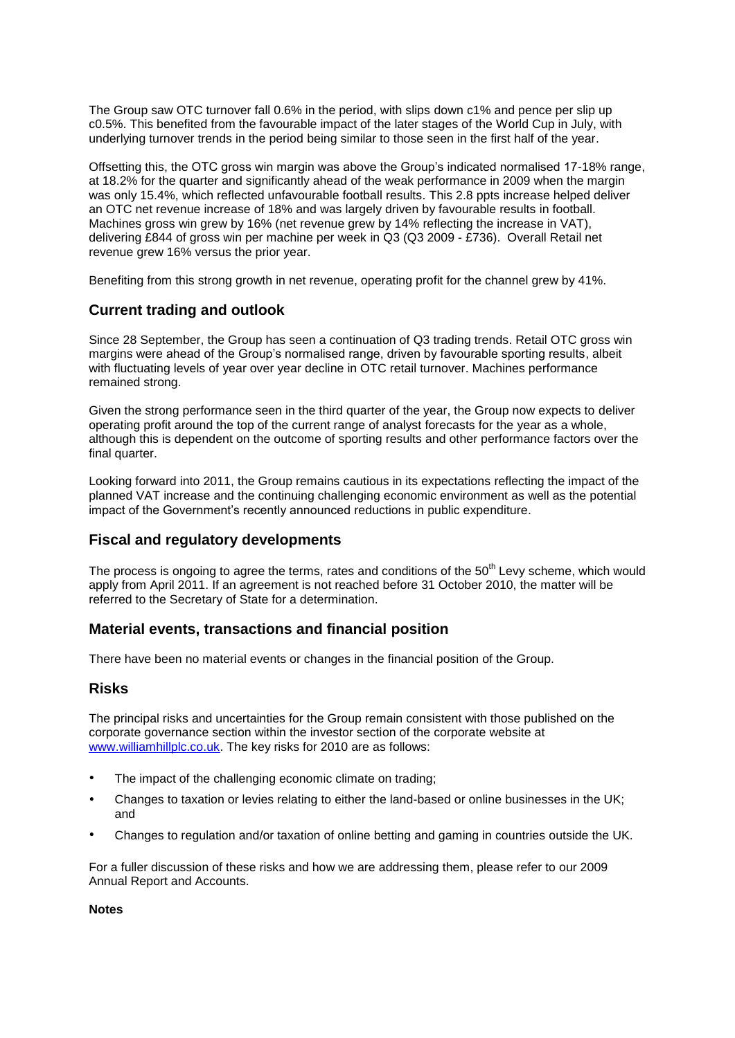The Group saw OTC turnover fall 0.6% in the period, with slips down c1% and pence per slip up c0.5%. This benefited from the favourable impact of the later stages of the World Cup in July, with underlying turnover trends in the period being similar to those seen in the first half of the year.

Offsetting this, the OTC gross win margin was above the Group's indicated normalised 17-18% range, at 18.2% for the quarter and significantly ahead of the weak performance in 2009 when the margin was only 15.4%, which reflected unfavourable football results. This 2.8 ppts increase helped deliver an OTC net revenue increase of 18% and was largely driven by favourable results in football. Machines gross win grew by 16% (net revenue grew by 14% reflecting the increase in VAT), delivering £844 of gross win per machine per week in Q3 (Q3 2009 - £736). Overall Retail net revenue grew 16% versus the prior year.

Benefiting from this strong growth in net revenue, operating profit for the channel grew by 41%.

# **Current trading and outlook**

Since 28 September, the Group has seen a continuation of Q3 trading trends. Retail OTC gross win margins were ahead of the Group's normalised range, driven by favourable sporting results, albeit with fluctuating levels of year over year decline in OTC retail turnover. Machines performance remained strong.

Given the strong performance seen in the third quarter of the year, the Group now expects to deliver operating profit around the top of the current range of analyst forecasts for the year as a whole, although this is dependent on the outcome of sporting results and other performance factors over the final quarter.

Looking forward into 2011, the Group remains cautious in its expectations reflecting the impact of the planned VAT increase and the continuing challenging economic environment as well as the potential impact of the Government's recently announced reductions in public expenditure.

# **Fiscal and regulatory developments**

The process is ongoing to agree the terms, rates and conditions of the 50<sup>th</sup> Levy scheme, which would apply from April 2011. If an agreement is not reached before 31 October 2010, the matter will be referred to the Secretary of State for a determination.

### **Material events, transactions and financial position**

There have been no material events or changes in the financial position of the Group.

### **Risks**

The principal risks and uncertainties for the Group remain consistent with those published on the corporate governance section within the investor section of the corporate website at [www.williamhillplc.co.uk.](http://www.williamhillplc.co.uk/) The key risks for 2010 are as follows:

- The impact of the challenging economic climate on trading;
- Changes to taxation or levies relating to either the land-based or online businesses in the UK; and
- Changes to regulation and/or taxation of online betting and gaming in countries outside the UK.

For a fuller discussion of these risks and how we are addressing them, please refer to our 2009 Annual Report and Accounts.

### **Notes**